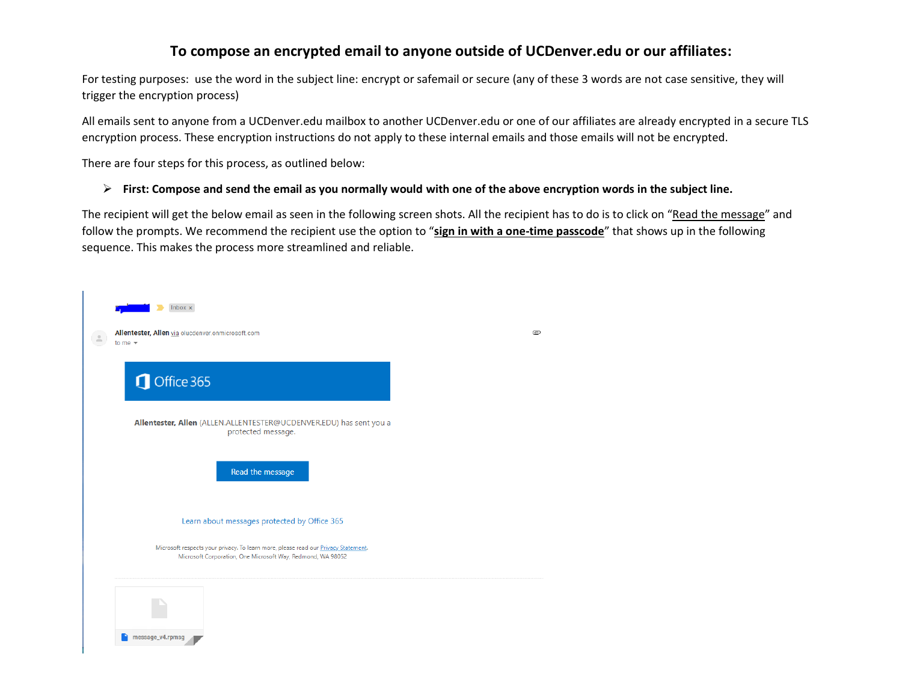### **To compose an encrypted email to anyone outside of UCDenver.edu or our affiliates:**

For testing purposes: use the word in the subject line: encrypt or safemail or secure (any of these 3 words are not case sensitive, they will trigger the encryption process)

All emails sent to anyone from a UCDenver.edu mailbox to another UCDenver.edu or one of our affiliates are already encrypted in a secure TLS encryption process. These encryption instructions do not apply to these internal emails and those emails will not be encrypted.

There are four steps for this process, as outlined below:

#### ➢ **First: Compose and send the email as you normally would with one of the above encryption words in the subject line.**

The recipient will get the below email as seen in the following screen shots. All the recipient has to do is to click on "Read the message" and follow the prompts. We recommend the recipient use the option to "**sign in with a one-time passcode**" that shows up in the following sequence. This makes the process more streamlined and reliable.

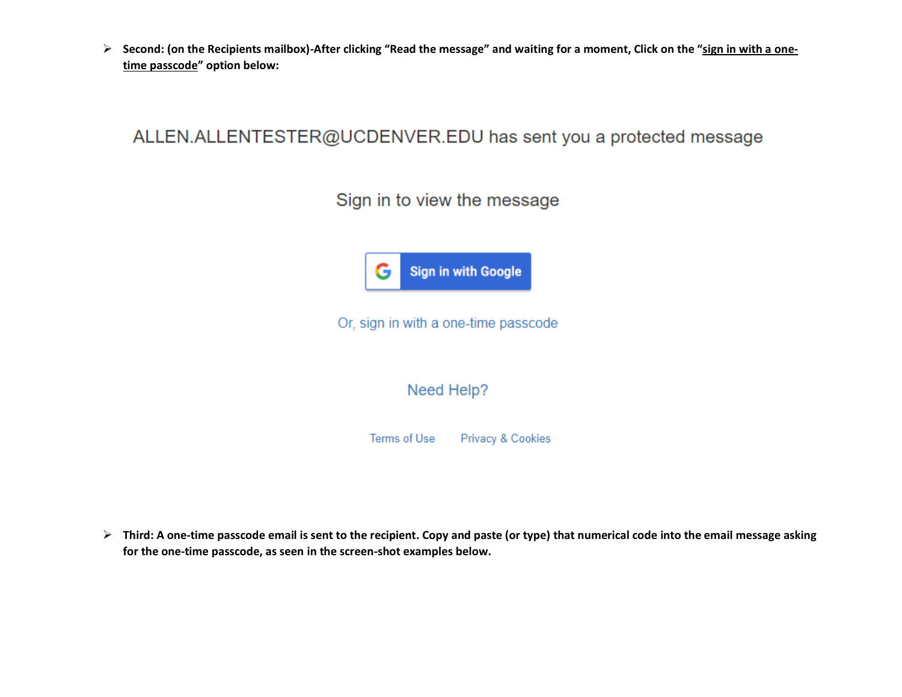➢ **Second: (on the Recipients mailbox)-After clicking "Read the message" and waiting for a moment, Click on the "sign in with a onetime passcode" option below:**

## ALLEN.ALLENTESTER@UCDENVER.EDU has sent you a protected message

Sign in to view the message



Or, sign in with a one-time passcode

Need Help?

Terms of Use **Privacy & Cookies** 

➢ **Third: A one-time passcode email is sent to the recipient. Copy and paste (or type) that numerical code into the email message asking for the one-time passcode, as seen in the screen-shot examples below.**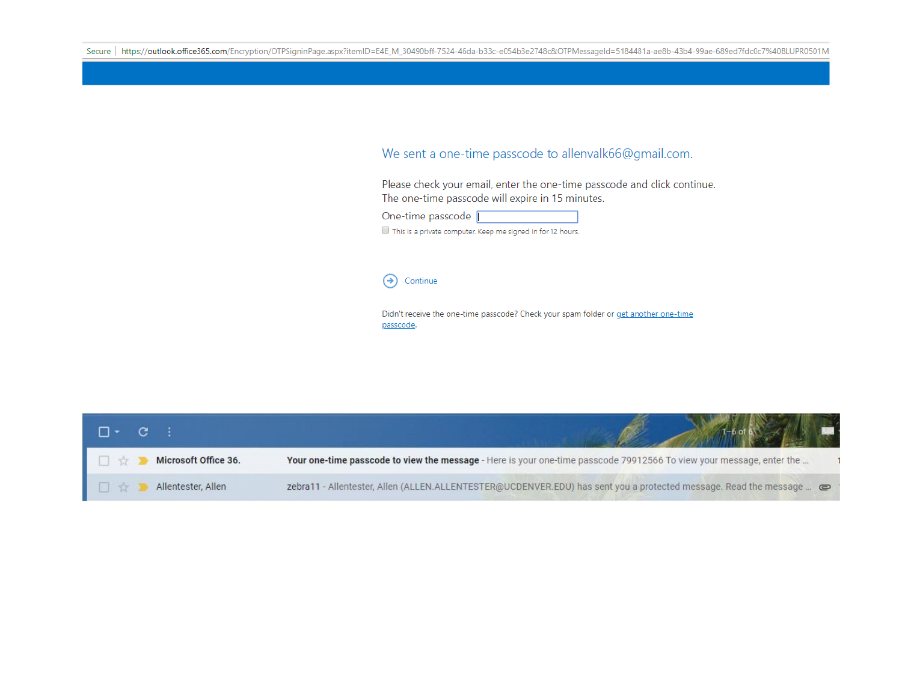#### We sent a one-time passcode to allenvalk66@gmail.com.

Please check your email, enter the one-time passcode and click continue. The one-time passcode will expire in 15 minutes.

| One-time passcode |                                                            |
|-------------------|------------------------------------------------------------|
|                   | This is a private computer. Keep me signed in for 12 hours |

#### Continue  $\rightarrow)$

Didn't receive the one-time passcode? Check your spam folder or get another one-time passcode.

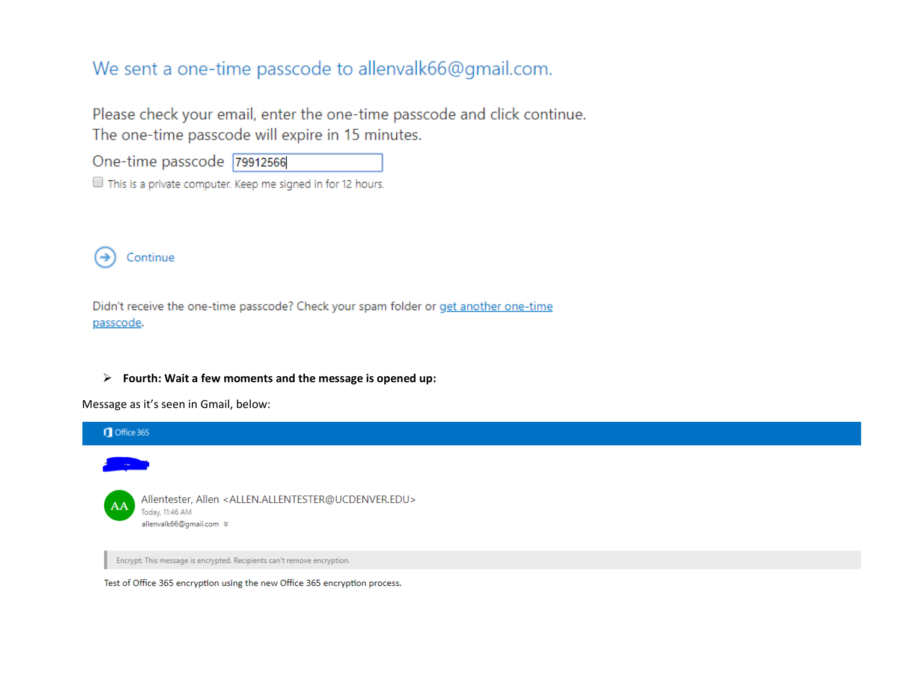# We sent a one-time passcode to allenvalk66@gmail.com.

Please check your email, enter the one-time passcode and click continue. The one-time passcode will expire in 15 minutes.

| One-time passcode 79912566 |  |
|----------------------------|--|
|----------------------------|--|

This is a private computer. Keep me signed in for 12 hours.



Didn't receive the one-time passcode? Check your spam folder or get another one-time passcode.

#### ➢ **Fourth: Wait a few moments and the message is opened up:**

Message as it's seen in Gmail, below:



Test of Office 365 encryption using the new Office 365 encryption process.